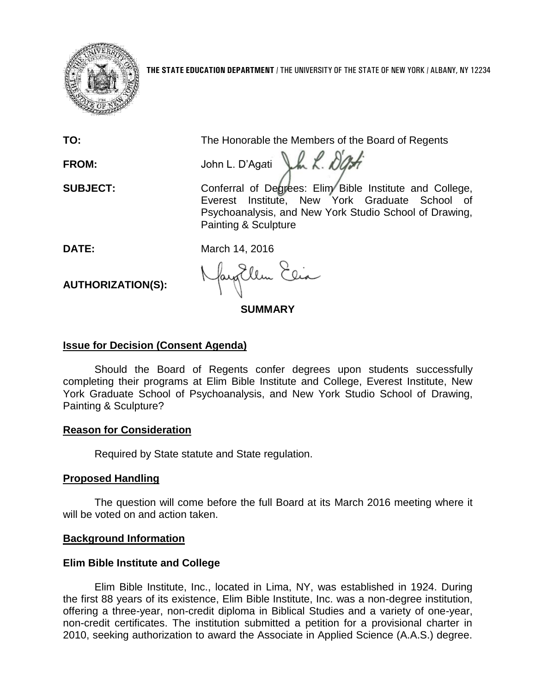

**THE STATE EDUCATION DEPARTMENT** / THE UNIVERSITY OF THE STATE OF NEW YORK / ALBANY, NY 12234

**TO:** The Honorable the Members of the Board of Regents

FROM: John L. D'Ag*ati* J.h. K. *D'Agh* 

**SUBJECT:** Conferral of Degrees: Elim Bible Institute and College, Everest Institute, New York Graduate School of Psychoanalysis, and New York Studio School of Drawing, Painting & Sculpture

**DATE:** March 14, 2016

**AUTHORIZATION(S):**

fayEllen Elia

**SUMMARY**

# **Issue for Decision (Consent Agenda)**

Should the Board of Regents confer degrees upon students successfully completing their programs at Elim Bible Institute and College, Everest Institute, New York Graduate School of Psychoanalysis, and New York Studio School of Drawing, Painting & Sculpture?

# **Reason for Consideration**

Required by State statute and State regulation.

# **Proposed Handling**

The question will come before the full Board at its March 2016 meeting where it will be voted on and action taken.

# **Background Information**

# **Elim Bible Institute and College**

Elim Bible Institute, Inc., located in Lima, NY, was established in 1924. During the first 88 years of its existence, Elim Bible Institute, Inc. was a non-degree institution, offering a three-year, non-credit diploma in Biblical Studies and a variety of one-year, non-credit certificates. The institution submitted a petition for a provisional charter in 2010, seeking authorization to award the Associate in Applied Science (A.A.S.) degree.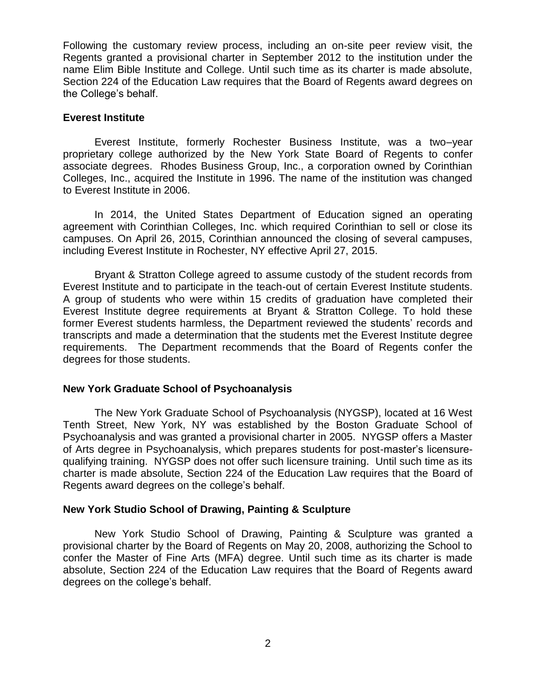Following the customary review process, including an on-site peer review visit, the Regents granted a provisional charter in September 2012 to the institution under the name Elim Bible Institute and College. Until such time as its charter is made absolute, Section 224 of the Education Law requires that the Board of Regents award degrees on the College's behalf.

#### **Everest Institute**

Everest Institute, formerly Rochester Business Institute, was a two–year proprietary college authorized by the New York State Board of Regents to confer associate degrees. Rhodes Business Group, Inc., a corporation owned by Corinthian Colleges, Inc., acquired the Institute in 1996. The name of the institution was changed to Everest Institute in 2006.

In 2014, the United States Department of Education signed an operating agreement with Corinthian Colleges, Inc. which required Corinthian to sell or close its campuses. On April 26, 2015, Corinthian announced the closing of several campuses, including Everest Institute in Rochester, NY effective April 27, 2015.

Bryant & Stratton College agreed to assume custody of the student records from Everest Institute and to participate in the teach-out of certain Everest Institute students. A group of students who were within 15 credits of graduation have completed their Everest Institute degree requirements at Bryant & Stratton College. To hold these former Everest students harmless, the Department reviewed the students' records and transcripts and made a determination that the students met the Everest Institute degree requirements. The Department recommends that the Board of Regents confer the degrees for those students.

#### **New York Graduate School of Psychoanalysis**

The New York Graduate School of Psychoanalysis (NYGSP), located at 16 West Tenth Street, New York, NY was established by the Boston Graduate School of Psychoanalysis and was granted a provisional charter in 2005. NYGSP offers a Master of Arts degree in Psychoanalysis, which prepares students for post-master's licensurequalifying training. NYGSP does not offer such licensure training. Until such time as its charter is made absolute, Section 224 of the Education Law requires that the Board of Regents award degrees on the college's behalf.

#### **New York Studio School of Drawing, Painting & Sculpture**

New York Studio School of Drawing, Painting & Sculpture was granted a provisional charter by the Board of Regents on May 20, 2008, authorizing the School to confer the Master of Fine Arts (MFA) degree. Until such time as its charter is made absolute, Section 224 of the Education Law requires that the Board of Regents award degrees on the college's behalf.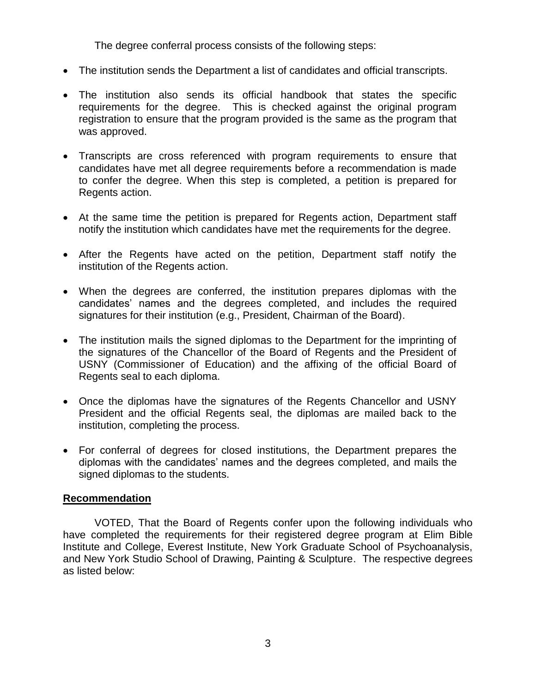The degree conferral process consists of the following steps:

- The institution sends the Department a list of candidates and official transcripts.
- The institution also sends its official handbook that states the specific requirements for the degree. This is checked against the original program registration to ensure that the program provided is the same as the program that was approved.
- Transcripts are cross referenced with program requirements to ensure that candidates have met all degree requirements before a recommendation is made to confer the degree. When this step is completed, a petition is prepared for Regents action.
- At the same time the petition is prepared for Regents action, Department staff notify the institution which candidates have met the requirements for the degree.
- After the Regents have acted on the petition, Department staff notify the institution of the Regents action.
- When the degrees are conferred, the institution prepares diplomas with the candidates' names and the degrees completed, and includes the required signatures for their institution (e.g., President, Chairman of the Board).
- The institution mails the signed diplomas to the Department for the imprinting of the signatures of the Chancellor of the Board of Regents and the President of USNY (Commissioner of Education) and the affixing of the official Board of Regents seal to each diploma.
- Once the diplomas have the signatures of the Regents Chancellor and USNY President and the official Regents seal, the diplomas are mailed back to the institution, completing the process.
- For conferral of degrees for closed institutions, the Department prepares the diplomas with the candidates' names and the degrees completed, and mails the signed diplomas to the students.

### **Recommendation**

VOTED, That the Board of Regents confer upon the following individuals who have completed the requirements for their registered degree program at Elim Bible Institute and College, Everest Institute, New York Graduate School of Psychoanalysis, and New York Studio School of Drawing, Painting & Sculpture. The respective degrees as listed below: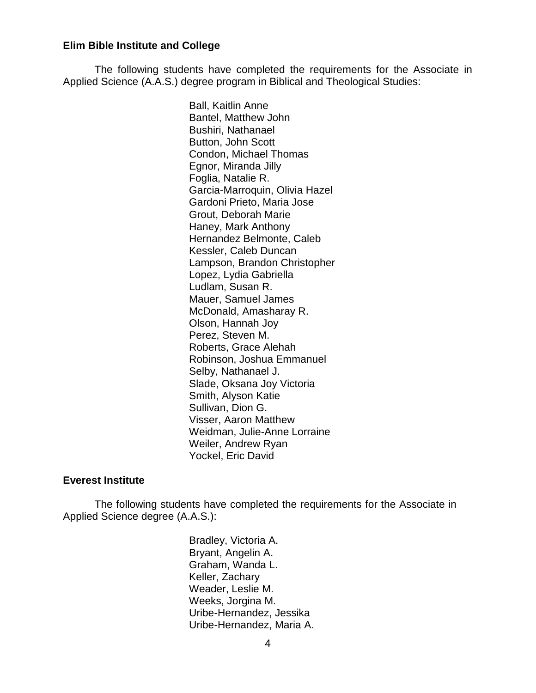#### **Elim Bible Institute and College**

The following students have completed the requirements for the Associate in Applied Science (A.A.S.) degree program in Biblical and Theological Studies:

> Ball, Kaitlin Anne Bantel, Matthew John Bushiri, Nathanael Button, John Scott Condon, Michael Thomas Egnor, Miranda Jilly Foglia, Natalie R. Garcia-Marroquin, Olivia Hazel Gardoni Prieto, Maria Jose Grout, Deborah Marie Haney, Mark Anthony Hernandez Belmonte, Caleb Kessler, Caleb Duncan Lampson, Brandon Christopher Lopez, Lydia Gabriella Ludlam, Susan R. Mauer, Samuel James McDonald, Amasharay R. Olson, Hannah Joy Perez, Steven M. Roberts, Grace Alehah Robinson, Joshua Emmanuel Selby, Nathanael J. Slade, Oksana Joy Victoria Smith, Alyson Katie Sullivan, Dion G. Visser, Aaron Matthew Weidman, Julie-Anne Lorraine Weiler, Andrew Ryan Yockel, Eric David

#### **Everest Institute**

The following students have completed the requirements for the Associate in Applied Science degree (A.A.S.):

> Bradley, Victoria A. Bryant, Angelin A. Graham, Wanda L. Keller, Zachary Weader, Leslie M. Weeks, Jorgina M. Uribe-Hernandez, Jessika Uribe-Hernandez, Maria A.